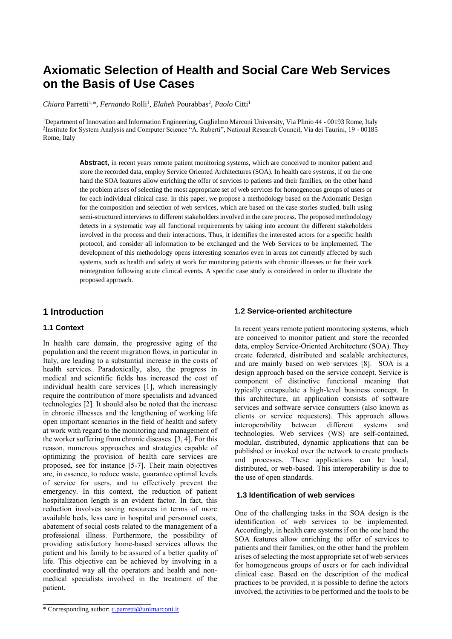# **Axiomatic Selection of Health and Social Care Web Services on the Basis of Use Cases**

Chiara Parretti<sup>1,\*</sup>, Fernando Rolli<sup>1</sup>, Elaheh Pourabbas<sup>2</sup>, Paolo Citti<sup>1</sup>

<sup>1</sup>Department of Innovation and Information Engineering, Guglielmo Marconi University, Via Plinio 44 - 00193 Rome, Italy 2 Institute for System Analysis and Computer Science "A. Ruberti", National Research Council, Via dei Taurini, 19 - 00185 Rome, Italy

> Abstract, in recent years remote patient monitoring systems, which are conceived to monitor patient and store the recorded data, employ Service Oriented Architectures (SOA). In health care systems, if on the one hand the SOA features allow enriching the offer of services to patients and their families, on the other hand the problem arises of selecting the most appropriate set of web services for homogeneous groups of users or for each individual clinical case. In this paper, we propose a methodology based on the Axiomatic Design for the composition and selection of web services, which are based on the case stories studied, built using semi-structured interviews to different stakeholders involved in the care process. The proposed methodology detects in a systematic way all functional requirements by taking into account the different stakeholders involved in the process and their interactions. Thus, it identifies the interested actors for a specific health protocol, and consider all information to be exchanged and the Web Services to be implemented. The development of this methodology opens interesting scenarios even in areas not currently affected by such systems, such as health and safety at work for monitoring patients with chronic illnesses or for their work reintegration following acute clinical events. A specific case study is considered in order to illustrate the proposed approach.

# **1 Introduction**

#### **1.1 Context**

In health care domain, the progressive aging of the population and the recent migration flows, in particular in Italy, are leading to a substantial increase in the costs of health services. Paradoxically, also, the progress in medical and scientific fields has increased the cost of individual health care services [1], which increasingly require the contribution of more specialists and advanced technologies [2]. It should also be noted that the increase in chronic illnesses and the lengthening of working life open important scenarios in the field of health and safety at work with regard to the monitoring and management of the worker suffering from chronic diseases. [3, 4]. For this reason, numerous approaches and strategies capable of optimizing the provision of health care services are proposed, see for instance [5-7]. Their main objectives are, in essence, to reduce waste, guarantee optimal levels of service for users, and to effectively prevent the emergency. In this context, the reduction of patient hospitalization length is an evident factor. In fact, this reduction involves saving resources in terms of more available beds, less care in hospital and personnel costs, abatement of social costs related to the management of a professional illness. Furthermore, the possibility of providing satisfactory home-based services allows the patient and his family to be assured of a better quality of life. This objective can be achieved by involving in a coordinated way all the operators and health and nonmedical specialists involved in the treatment of the patient.

#### **1.2 Service-oriented architecture**

In recent years remote patient monitoring systems, which are conceived to monitor patient and store the recorded data, employ Service-Oriented Architecture (SOA). They create federated, distributed and scalable architectures, and are mainly based on web services [8]. SOA is a design approach based on the service concept. Service is component of distinctive functional meaning that typically encapsulate a high-level business concept. In this architecture, an application consists of software services and software service consumers (also known as clients or service requesters). This approach allows interoperability between different systems and technologies. Web services (WS) are self-contained, modular, distributed, dynamic applications that can be published or invoked over the network to create products and processes. These applications can be local, distributed, or web-based. This interoperability is due to the use of open standards.

# **1.3 Identification of web services**

One of the challenging tasks in the SOA design is the identification of web services to be implemented. Accordingly, in health care systems if on the one hand the SOA features allow enriching the offer of services to patients and their families, on the other hand the problem arises of selecting the most appropriate set of web services for homogeneous groups of users or for each individual clinical case. Based on the description of the medical practices to be provided, it is possible to define the actors involved, the activities to be performed and the tools to be

<sup>\*</sup> Corresponding author: [c.parretti@unimarconi.it](mailto:c.parretti@unimarconi.it)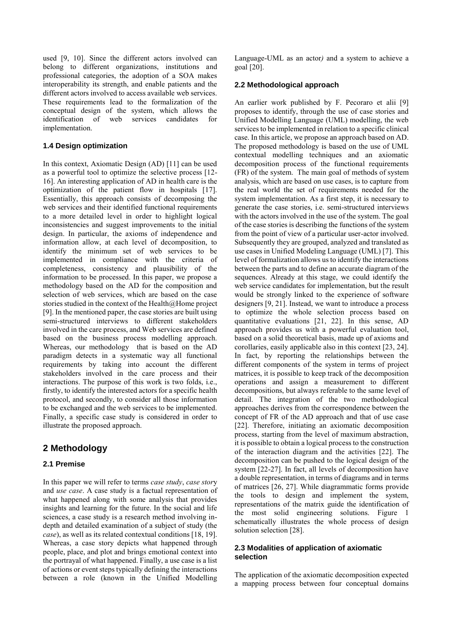used [9, 10]. Since the different actors involved can belong to different organizations, institutions and professional categories, the adoption of a SOA makes interoperability its strength, and enable patients and the different actors involved to access available web services. These requirements lead to the formalization of the conceptual design of the system, which allows the identification of web services candidates for implementation.

# **1.4 Design optimization**

In this context, Axiomatic Design (AD) [11] can be used as a powerful tool to optimize the selective process [12- 16]. An interesting application of AD in health care is the optimization of the patient flow in hospitals [17]. Essentially, this approach consists of decomposing the web services and their identified functional requirements to a more detailed level in order to highlight logical inconsistencies and suggest improvements to the initial design. In particular, the axioms of independence and information allow, at each level of decomposition, to identify the minimum set of web services to be implemented in compliance with the criteria of completeness, consistency and plausibility of the information to be processed. In this paper, we propose a methodology based on the AD for the composition and selection of web services, which are based on the case stories studied in the context of the Health $@$ Home project [9]. In the mentioned paper, the case stories are built using semi-structured interviews to different stakeholders involved in the care process, and Web services are defined based on the business process modelling approach. Whereas, our methodology that is based on the AD paradigm detects in a systematic way all functional requirements by taking into account the different stakeholders involved in the care process and their interactions. The purpose of this work is two folds, i.e., firstly, to identify the interested actors for a specific health protocol, and secondly, to consider all those information to be exchanged and the web services to be implemented. Finally, a specific case study is considered in order to illustrate the proposed approach.

# **2 Methodology**

# **2.1 Premise**

In this paper we will refer to terms *case study*, *case stor*y and *use case*. A case study is a factual representation of what happened along with some analysis that provides insights and learning for the future. In the social and life sciences, a case study is a research method involving indepth and detailed examination of a subject of study (the *case*), as well as its related contextual conditions [18, 19]. Whereas, a case story depicts what happened through people, place, and plot and brings emotional context into the portrayal of what happened. Finally, a use case is a list of actions or event steps typically defining the interactions between a role (known in the Unified Modelling Language-UML as an actor*)* and a system to achieve a goal [20].

# **2.2 Methodological approach**

An earlier work published by F. Pecoraro et alii [9] proposes to identify, through the use of case stories and Unified Modelling Language (UML) modelling, the web services to be implemented in relation to a specific clinical case. In this article, we propose an approach based on AD. The proposed methodology is based on the use of UML contextual modelling techniques and an axiomatic decomposition process of the functional requirements (FR) of the system. The main goal of methods of system analysis, which are based on use cases, is to capture from the real world the set of requirements needed for the system implementation. As a first step, it is necessary to generate the case stories, i.e. semi-structured interviews with the actors involved in the use of the system. The goal of the case stories is describing the functions of the system from the point of view of a particular user-actor involved. Subsequently they are grouped, analyzed and translated as use cases in Unified Modeling Language (UML) [7]. This level of formalization allows us to identify the interactions between the parts and to define an accurate diagram of the sequences. Already at this stage, we could identify the web service candidates for implementation, but the result would be strongly linked to the experience of software designers [9, 21]. Instead, we want to introduce a process to optimize the whole selection process based on quantitative evaluations [21, 22]. In this sense, AD approach provides us with a powerful evaluation tool, based on a solid theoretical basis, made up of axioms and corollaries, easily applicable also in this context [23, 24]. In fact, by reporting the relationships between the different components of the system in terms of project matrices, it is possible to keep track of the decomposition operations and assign a measurement to different decompositions, but always referable to the same level of detail. The integration of the two methodological approaches derives from the correspondence between the concept of FR of the AD approach and that of use case [22]. Therefore, initiating an axiomatic decomposition process, starting from the level of maximum abstraction, it is possible to obtain a logical process to the construction of the interaction diagram and the activities [22]. The decomposition can be pushed to the logical design of the system [22-27]. In fact, all levels of decomposition have a double representation, in terms of diagrams and in terms of matrices [26, 27]. While diagrammatic forms provide the tools to design and implement the system, representations of the matrix guide the identification of the most solid engineering solutions. Figure 1 schematically illustrates the whole process of design solution selection [28].

# **2.3 Modalities of application of axiomatic selection**

The application of the axiomatic decomposition expected a mapping process between four conceptual domains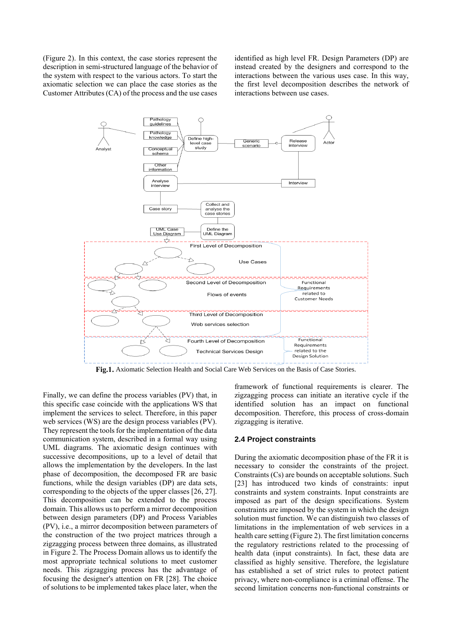(Figure 2). In this context, the case stories represent the description in semi-structured language of the behavior of the system with respect to the various actors. To start the axiomatic selection we can place the case stories as the Customer Attributes (CA) of the process and the use cases identified as high level FR. Design Parameters (DP) are instead created by the designers and correspond to the interactions between the various uses case. In this way, the first level decomposition describes the network of interactions between use cases.



**Fig.1.** Axiomatic Selection Health and Social Care Web Services on the Basis of Case Stories.

Finally, we can define the process variables (PV) that, in this specific case coincide with the applications WS that implement the services to select. Therefore, in this paper web services (WS) are the design process variables (PV). They represent the tools for the implementation of the data communication system, described in a formal way using UML diagrams. The axiomatic design continues with successive decompositions, up to a level of detail that allows the implementation by the developers. In the last phase of decomposition, the decomposed FR are basic functions, while the design variables (DP) are data sets, corresponding to the objects of the upper classes [26, 27]. This decomposition can be extended to the process domain. This allows us to perform a mirror decomposition between design parameters (DP) and Process Variables (PV), i.e., a mirror decomposition between parameters of the construction of the two project matrices through a zigzagging process between three domains, as illustrated in Figure 2. The Process Domain allows us to identify the most appropriate technical solutions to meet customer needs. This zigzagging process has the advantage of focusing the designer's attention on FR [28]. The choice of solutions to be implemented takes place later, when the

framework of functional requirements is clearer. The zigzagging process can initiate an iterative cycle if the identified solution has an impact on functional decomposition. Therefore, this process of cross-domain zigzagging is iterative.

# **2.4 Project constraints**

During the axiomatic decomposition phase of the FR it is necessary to consider the constraints of the project. Constraints (Cs) are bounds on acceptable solutions. Such [23] has introduced two kinds of constraints: input constraints and system constraints. Input constraints are imposed as part of the design specifications. System constraints are imposed by the system in which the design solution must function. We can distinguish two classes of limitations in the implementation of web services in a health care setting (Figure 2). The first limitation concerns the regulatory restrictions related to the processing of health data (input constraints). In fact, these data are classified as highly sensitive. Therefore, the legislature has established a set of strict rules to protect patient privacy, where non-compliance is a criminal offense. The second limitation concerns non-functional constraints or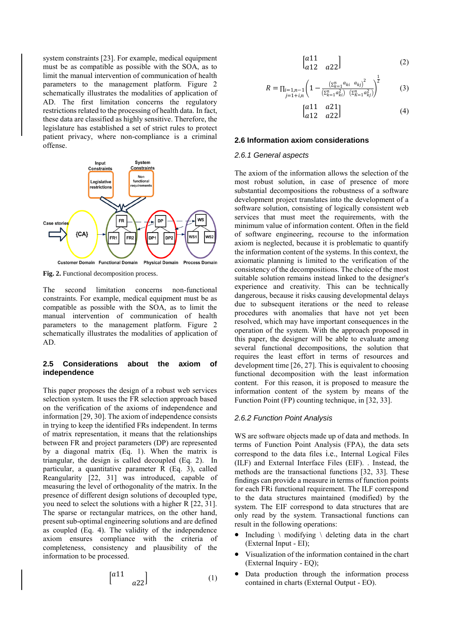system constraints [23]. For example, medical equipment must be as compatible as possible with the SOA, as to limit the manual intervention of communication of health parameters to the management platform. Figure 2 schematically illustrates the modalities of application of AD. The first limitation concerns the regulatory restrictions related to the processing of health data. In fact, these data are classified as highly sensitive. Therefore, the legislature has established a set of strict rules to protect patient privacy, where non-compliance is a criminal offense.



Customer Domain Functional Domain Physical Domain Process Domain

**Fig. 2.** Functional decomposition process.

The second limitation concerns non-functional constraints. For example, medical equipment must be as compatible as possible with the SOA, as to limit the manual intervention of communication of health parameters to the management platform. Figure 2 schematically illustrates the modalities of application of AD.

# **2.5 Considerations about the axiom of independence**

This paper proposes the design of a robust web services selection system. It uses the FR selection approach based on the verification of the axioms of independence and information [29, 30]. The axiom of independence consists in trying to keep the identified FRs independent. In terms of matrix representation, it means that the relationships between FR and project parameters (DP) are represented by a diagonal matrix (Eq. 1). When the matrix is triangular, the design is called decoupled (Eq. 2). In particular, a quantitative parameter R (Eq. 3), called Reangularity [22, 31] was introduced, capable of measuring the level of orthogonality of the matrix. In the presence of different design solutions of decoupled type, you need to select the solutions with a higher R [22, 31]. The sparse or rectangular matrices, on the other hand, present sub-optimal engineering solutions and are defined as coupled (Eq. 4). The validity of the independence axiom ensures compliance with the criteria of completeness, consistency and plausibility of the information to be processed.

$$
\begin{bmatrix} a11 & & \\ & a22 \end{bmatrix} \tag{1}
$$

$$
\begin{bmatrix} a11 \\ a12 & a22 \end{bmatrix} \tag{2}
$$

$$
R = \prod_{\substack{i=1,n-1 \ j=1+i,n}} \left( 1 - \frac{\left(\sum_{k=1}^{n} a_{ki} \ a_{kj}\right)^2}{\left(\sum_{k=1}^{n} a_{ki}^2\right) \left(\sum_{k=1}^{n} a_{kj}^2\right)} \right)^{\frac{1}{2}}
$$
(3)

$$
\begin{bmatrix} a11 & a21 \\ a12 & a22 \end{bmatrix} \tag{4}
$$

#### **2.6 Information axiom considerations**

#### *2.6.1 General aspects*

The axiom of the information allows the selection of the most robust solution, in case of presence of more substantial decompositions the robustness of a software development project translates into the development of a software solution, consisting of logically consistent web services that must meet the requirements, with the minimum value of information content. Often in the field of software engineering, recourse to the information axiom is neglected, because it is problematic to quantify the information content of the systems. In this context, the axiomatic planning is limited to the verification of the consistency of the decompositions. The choice of the most suitable solution remains instead linked to the designer's experience and creativity. This can be technically dangerous, because it risks causing developmental delays due to subsequent iterations or the need to release procedures with anomalies that have not yet been resolved, which may have important consequences in the operation of the system. With the approach proposed in this paper, the designer will be able to evaluate among several functional decompositions, the solution that requires the least effort in terms of resources and development time [26, 27]. This is equivalent to choosing functional decomposition with the least information content. For this reason, it is proposed to measure the information content of the system by means of the Function Point (FP) counting technique, in [32, 33].

#### *2.6.2 Function Point Analysis*

WS are software objects made up of data and methods. In terms of Function Point Analysis (FPA), the data sets correspond to the data files i.e., Internal Logical Files (ILF) and External Interface Files (EIF). . Instead, the methods are the transactional functions [32, 33]. These findings can provide a measure in terms of function points for each FRi functional requirement. The ILF correspond to the data structures maintained (modified) by the system. The EIF correspond to data structures that are only read by the system. Transactional functions can result in the following operations:

- Including  $\setminus$  modifying  $\setminus$  deleting data in the chart (External Input - EI);
- Visualization of the information contained in the chart (External Inquiry - EQ);
- Data production through the information process contained in charts (External Output - EO).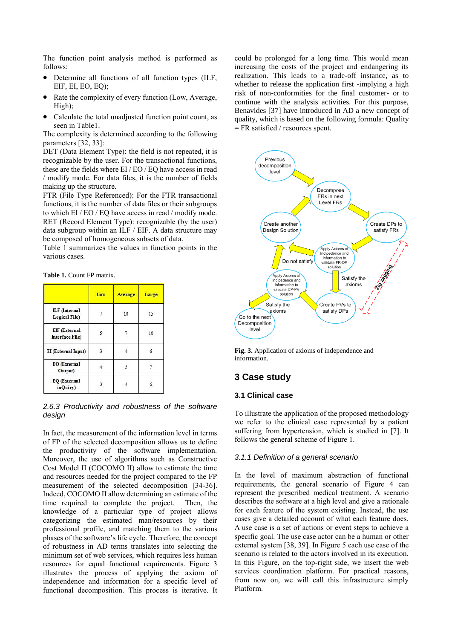The function point analysis method is performed as follows:

- Determine all functions of all function types (ILF, EIF, EI, EO, EQ);
- Rate the complexity of every function (Low, Average, High);
- Calculate the total unadjusted function point count, as seen in Table1.

The complexity is determined according to the following parameters [32, 33]:

DET (Data Element Type): the field is not repeated, it is recognizable by the user. For the transactional functions, these are the fields where EI / EO / EQ have access in read / modify mode. For data files, it is the number of fields making up the structure.

FTR (File Type Referenced): For the FTR transactional functions, it is the number of data files or their subgroups to which EI / EO / EQ have access in read / modify mode. RET (Record Element Type): recognizable (by the user) data subgroup within an ILF / EIF. A data structure may be composed of homogeneous subsets of data.

Table 1 summarizes the values in function points in the various cases.

**Table 1.** Count FP matrix.

|                                              | Low | Average | Large |
|----------------------------------------------|-----|---------|-------|
| <b>ILF</b> (Internal<br><b>Logical File)</b> |     | 10      | 15    |
| <b>EIF</b> (External<br>Interface File)      |     |         | 10    |
| EI (External Input)                          | 3   |         |       |
| <b>EO</b> (External<br>Output)               |     |         |       |
| <b>EQ</b> (External<br>inQuiry)              |     |         |       |

*2.6.3 Productivity and robustness of the software design*

In fact, the measurement of the information level in terms of FP of the selected decomposition allows us to define the productivity of the software implementation. Moreover, the use of algorithms such as Constructive Cost Model II (COCOMO II) allow to estimate the time and resources needed for the project compared to the FP measurement of the selected decomposition [34-36]. Indeed, COCOMO II allow determining an estimate of the time required to complete the project. Then, the knowledge of a particular type of project allows categorizing the estimated man/resources by their professional profile, and matching them to the various phases of the software's life cycle. Therefore, the concept of robustness in AD terms translates into selecting the minimum set of web services, which requires less human resources for equal functional requirements. Figure 3 illustrates the process of applying the axiom of independence and information for a specific level of functional decomposition. This process is iterative. It

could be prolonged for a long time. This would mean increasing the costs of the project and endangering its realization. This leads to a trade-off instance, as to whether to release the application first -implying a high risk of non-conformities for the final customer- or to continue with the analysis activities. For this purpose, Benavides [37] have introduced in AD a new concept of quality, which is based on the following formula: Quality = FR satisfied / resources spent.



**Fig. 3.** Application of axioms of independence and information.

# **3 Case study**

### **3.1 Clinical case**

To illustrate the application of the proposed methodology we refer to the clinical case represented by a patient suffering from hypertension, which is studied in [7]. It follows the general scheme of Figure 1.

#### *3.1.1 Definition of a general scenario*

In the level of maximum abstraction of functional requirements, the general scenario of Figure 4 can represent the prescribed medical treatment. A scenario describes the software at a high level and give a rationale for each feature of the system existing. Instead, the use cases give a detailed account of what each feature does. A use case is a set of actions or event steps to achieve a specific goal. The use case actor can be a human or other external system [38, 39]. In Figure 5 each use case of the scenario is related to the actors involved in its execution. In this Figure, on the top-right side, we insert the web services coordination platform. For practical reasons, from now on, we will call this infrastructure simply Platform.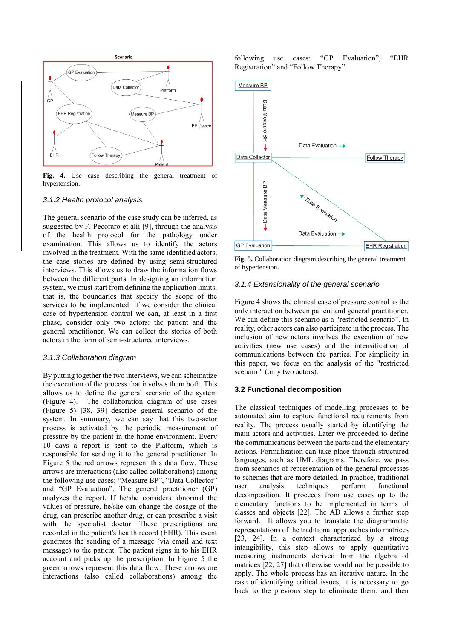

**Fig. 4.** Use case describing the general treatment of hypertension.

#### *3.1.2 Health protocol analysis*

The general scenario of the case study can be inferred, as suggested by F. Pecoraro et alii [9], through the analysis of the health protocol for the pathology under examination. This allows us to identify the actors involved in the treatment. With the same identified actors, the case stories are defined by using semi-structured interviews. This allows us to draw the information flows between the different parts. In designing an information system, we must start from defining the application limits. that is, the boundaries that specify the scope of the services to be implemented. If we consider the clinical case of hypertension control we can, at least in a first phase, consider only two actors: the patient and the general practitioner. We can collect the stories of both actors in the form of semi-structured interviews.

#### *3.1.3 Collaboration diagram*

By putting together the two interviews, we can schematize the execution of the process that involves them both. This allows us to define the general scenario of the system (Figure 4). The collaboration diagram of use cases (Figure 5) [38, 39] describe general scenario of the system. In summary, we can say that this two-actor process is activated by the periodic measurement of pressure by the patient in the home environment. Every 10 days a report is sent to the Platform, which is responsible for sending it to the general practitioner. In Figure 5 the red arrows represent this data flow. These arrows are interactions (also called collaborations) among the following use cases: "Measure BP", "Data Collector" and "GP Evaluation". The general practitioner (GP) analyzes the report. If he/she considers abnormal the values of pressure, he/she can change the dosage of the drug, can prescribe another drug, or can prescribe a visit with the specialist doctor. These prescriptions are recorded in the patient's health record (EHR). This event generates the sending of a message (via email and text message) to the patient. The patient signs in to his EHR account and picks up the prescription. In Figure 5 the green arrows represent this data flow. These arrows are interactions (also called collaborations) among the

following use cases: "GP Evaluation", "EHR Registration" and "Follow Therapy".



**Fig. 5.** Collaboration diagram describing the general treatment of hypertension.

#### *3.1.4 Extensionality of the general scenario*

Figure 4 shows the clinical case of pressure control as the only interaction between patient and general practitioner. We can define this scenario as a "restricted scenario". In reality, other actors can also participate in the process. The inclusion of new actors involves the execution of new activities (new use cases) and the intensification of communications between the parties. For simplicity in this paper, we focus on the analysis of the "restricted scenario" (only two actors).

#### **3.2 Functional decomposition**

The classical techniques of modelling processes to be automated aim to capture functional requirements from reality. The process usually started by identifying the main actors and activities. Later we proceeded to define the communications between the parts and the elementary actions. Formalization can take place through structured languages, such as UML diagrams. Therefore, we pass from scenarios of representation of the general processes to schemes that are more detailed. In practice, traditional user analysis techniques perform functional decomposition. It proceeds from use cases up to the elementary functions to be implemented in terms of classes and objects [22]. The AD allows a further step forward. It allows you to translate the diagrammatic representations of the traditional approaches into matrices [23, 24]. In a context characterized by a strong intangibility, this step allows to apply quantitative measuring instruments derived from the algebra of matrices [22, 27] that otherwise would not be possible to apply. The whole process has an iterative nature. In the case of identifying critical issues, it is necessary to go back to the previous step to eliminate them, and then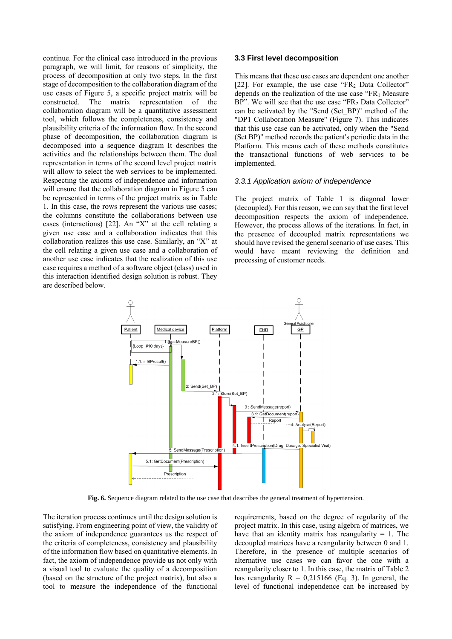continue. For the clinical case introduced in the previous paragraph, we will limit, for reasons of simplicity, the process of decomposition at only two steps. In the first stage of decomposition to the collaboration diagram of the use cases of Figure 5, a specific project matrix will be constructed. The matrix representation of the collaboration diagram will be a quantitative assessment tool, which follows the completeness, consistency and plausibility criteria of the information flow. In the second phase of decomposition, the collaboration diagram is decomposed into a sequence diagram It describes the activities and the relationships between them. The dual representation in terms of the second level project matrix will allow to select the web services to be implemented. Respecting the axioms of independence and information will ensure that the collaboration diagram in Figure 5 can be represented in terms of the project matrix as in Table 1. In this case, the rows represent the various use cases; the columns constitute the collaborations between use cases (interactions) [22]. An "X" at the cell relating a given use case and a collaboration indicates that this collaboration realizes this use case. Similarly, an "X" at the cell relating a given use case and a collaboration of another use case indicates that the realization of this use case requires a method of a software object (class) used in this interaction identified design solution is robust. They are described below.

#### **3.3 First level decomposition**

This means that these use cases are dependent one another [22]. For example, the use case "FR<sub>2</sub> Data Collector" depends on the realization of the use case " $FR<sub>1</sub>$  Measure BP". We will see that the use case "FR<sub>2</sub> Data Collector" can be activated by the "Send (Set\_BP)" method of the "DP1 Collaboration Measure" (Figure 7). This indicates that this use case can be activated, only when the "Send (Set BP)" method records the patient's periodic data in the Platform. This means each of these methods constitutes the transactional functions of web services to be implemented.

### *3.3.1 Application axiom of independence*

The project matrix of Table 1 is diagonal lower (decoupled). For this reason, we can say that the first level decomposition respects the axiom of independence. However, the process allows of the iterations. In fact, in the presence of decoupled matrix representations we should have revised the general scenario of use cases. This would have meant reviewing the definition and processing of customer needs.



**Fig. 6.** Sequence diagram related to the use case that describes the general treatment of hypertension.

The iteration process continues until the design solution is satisfying. From engineering point of view, the validity of the axiom of independence guarantees us the respect of the criteria of completeness, consistency and plausibility of the information flow based on quantitative elements. In fact, the axiom of independence provide us not only with a visual tool to evaluate the quality of a decomposition (based on the structure of the project matrix), but also a tool to measure the independence of the functional requirements, based on the degree of regularity of the project matrix. In this case, using algebra of matrices, we have that an identity matrix has reangularity  $= 1$ . The decoupled matrices have a reangularity between 0 and 1. Therefore, in the presence of multiple scenarios of alternative use cases we can favor the one with a reangularity closer to 1. In this case, the matrix of Table 2 has reangularity  $R = 0,215166$  (Eq. 3). In general, the level of functional independence can be increased by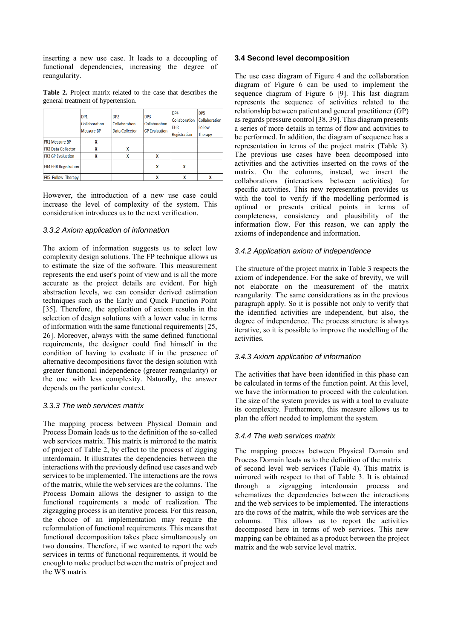inserting a new use case. It leads to a decoupling of functional dependencies, increasing the degree of reangularity.

**Table 2.** Project matrix related to the case that describes the general treatment of hypertension.

|                             | DP <sub>1</sub><br>Collaboration<br><b>Measure BP</b> | DP <sub>2</sub><br>Collaboration<br><b>Data Collector</b> | DP3<br>Collaboration<br><b>GP</b> Evaluation | D <sub>P4</sub><br>Collaboration<br><b>EHR</b><br>Registration | D <sub>P5</sub><br>Collaboration<br>Follow<br>Therapy |
|-----------------------------|-------------------------------------------------------|-----------------------------------------------------------|----------------------------------------------|----------------------------------------------------------------|-------------------------------------------------------|
| <b>FR1 Measure BP</b>       | X                                                     |                                                           |                                              |                                                                |                                                       |
| <b>FR2 Data Collector</b>   | X                                                     | X                                                         |                                              |                                                                |                                                       |
| <b>FR3 GP Evaluation</b>    | X                                                     | X                                                         | X                                            |                                                                |                                                       |
| <b>FR4 EHR Registration</b> |                                                       |                                                           | X                                            | X                                                              |                                                       |
| FR5 Follow Therapy          |                                                       |                                                           | X                                            | X                                                              | X                                                     |

However, the introduction of a new use case could increase the level of complexity of the system. This consideration introduces us to the next verification.

# *3.3.2 Axiom application of information*

The axiom of information suggests us to select low complexity design solutions. The FP technique allows us to estimate the size of the software. This measurement represents the end user's point of view and is all the more accurate as the project details are evident. For high abstraction levels, we can consider derived estimation techniques such as the Early and Quick Function Point [35]. Therefore, the application of axiom results in the selection of design solutions with a lower value in terms of information with the same functional requirements [25, 26]. Moreover, always with the same defined functional requirements, the designer could find himself in the condition of having to evaluate if in the presence of alternative decompositions favor the design solution with greater functional independence (greater reangularity) or the one with less complexity. Naturally, the answer depends on the particular context.

# *3.3.3 The web services matrix*

The mapping process between Physical Domain and Process Domain leads us to the definition of the so-called web services matrix. This matrix is mirrored to the matrix of project of Table 2, by effect to the process of zigging interdomain. It illustrates the dependencies between the interactions with the previously defined use cases and web services to be implemented. The interactions are the rows of the matrix, while the web services are the columns. The Process Domain allows the designer to assign to the functional requirements a mode of realization. The zigzagging process is an iterative process. For this reason, the choice of an implementation may require the reformulation of functional requirements. This means that functional decomposition takes place simultaneously on two domains. Therefore, if we wanted to report the web services in terms of functional requirements, it would be enough to make product between the matrix of project and the WS matrix

# **3.4 Second level decomposition**

The use case diagram of Figure 4 and the collaboration diagram of Figure 6 can be used to implement the sequence diagram of Figure 6 [9]. This last diagram represents the sequence of activities related to the relationship between patient and general practitioner (GP) as regards pressure control [38, 39]. This diagram presents a series of more details in terms of flow and activities to be performed. In addition, the diagram of sequence has a representation in terms of the project matrix (Table 3). The previous use cases have been decomposed into activities and the activities inserted on the rows of the matrix. On the columns, instead, we insert the collaborations (interactions between activities) for specific activities. This new representation provides us with the tool to verify if the modelling performed is optimal or presents critical points in terms of completeness, consistency and plausibility of the information flow. For this reason, we can apply the axioms of independence and information.

# *3.4.2 Application axiom of independence*

The structure of the project matrix in Table 3 respects the axiom of independence. For the sake of brevity, we will not elaborate on the measurement of the matrix reangularity. The same considerations as in the previous paragraph apply. So it is possible not only to verify that the identified activities are independent, but also, the degree of independence. The process structure is always iterative, so it is possible to improve the modelling of the activities.

# *3.4.3 Axiom application of information*

The activities that have been identified in this phase can be calculated in terms of the function point. At this level, we have the information to proceed with the calculation. The size of the system provides us with a tool to evaluate its complexity. Furthermore, this measure allows us to plan the effort needed to implement the system.

# *3.4.4 The web services matrix*

The mapping process between Physical Domain and Process Domain leads us to the definition of the matrix of second level web services (Table 4). This matrix is mirrored with respect to that of Table 3. It is obtained through a zigzagging interdomain process and schematizes the dependencies between the interactions and the web services to be implemented. The interactions are the rows of the matrix, while the web services are the columns. This allows us to report the activities decomposed here in terms of web services. This new mapping can be obtained as a product between the project matrix and the web service level matrix.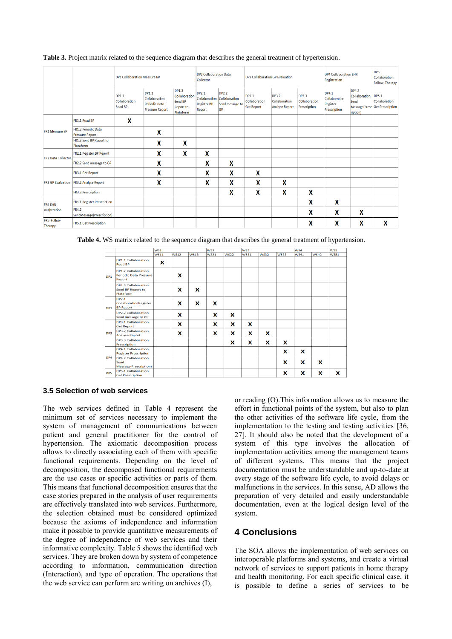|                              |                                               |                                                 | DP1 Collaboration Measure BP                                                    |                                                                    | DP2 Collaboration Data<br>Collector                                         |                                              | <b>DP3 Collaboration GP Evaluation</b>      |                                                        |                                               | <b>DP4 Collaboration EHR</b><br><b>Registration</b> |                                            | DP <sub>5</sub><br>Collaboration<br>Follow Therapy              |
|------------------------------|-----------------------------------------------|-------------------------------------------------|---------------------------------------------------------------------------------|--------------------------------------------------------------------|-----------------------------------------------------------------------------|----------------------------------------------|---------------------------------------------|--------------------------------------------------------|-----------------------------------------------|-----------------------------------------------------|--------------------------------------------|-----------------------------------------------------------------|
|                              |                                               | <b>DP1.1</b><br>Collaboration<br><b>Read BP</b> | <b>DP1.2</b><br>Collaboration<br><b>Periodic Data</b><br><b>Pressure Report</b> | DP1.3<br>Collaboration<br>Send BP<br><b>Report to</b><br>Plataform | <b>DP2.1</b><br>Collaboration Collaboration<br><b>Register BP</b><br>Report | <b>DP2.2</b><br>Send message to<br><b>GP</b> | <b>DP3.1</b><br>Collaboration<br>Get Report | <b>DP3.2</b><br>Collaboration<br><b>Analyse Report</b> | <b>DP3.3</b><br>Collaboration<br>Prescription | DP4.1<br>Collaboration<br>Register<br>Prescription  | DP4.2<br>Collaboration<br>Send<br>ription) | <b>DP5.1</b><br>Collaboration<br>Message(Presc Get Prescription |
|                              | FR1.1 Read BP                                 | X                                               |                                                                                 |                                                                    |                                                                             |                                              |                                             |                                                        |                                               |                                                     |                                            |                                                                 |
| FR1 Measure BP               | FR1.2 Periodic Data<br><b>Pressure Report</b> |                                                 | X                                                                               |                                                                    |                                                                             |                                              |                                             |                                                        |                                               |                                                     |                                            |                                                                 |
|                              | FR1.3 Send BP Report to<br>Plataform          |                                                 | X                                                                               | X                                                                  |                                                                             |                                              |                                             |                                                        |                                               |                                                     |                                            |                                                                 |
| <b>FR2 Data Collector</b>    | FR2.1 Register BP Report                      |                                                 | X                                                                               | X                                                                  | X                                                                           |                                              |                                             |                                                        |                                               |                                                     |                                            |                                                                 |
|                              | FR2.2 Send message to GP                      |                                                 | X                                                                               |                                                                    | X                                                                           | X                                            |                                             |                                                        |                                               |                                                     |                                            |                                                                 |
|                              | FR3.1 Get Report                              |                                                 | X                                                                               |                                                                    | X                                                                           | X                                            | X                                           |                                                        |                                               |                                                     |                                            |                                                                 |
| <b>FR3 GP Evaluation</b>     | FR3.2 Analyse Report                          |                                                 | X                                                                               |                                                                    | X                                                                           | X                                            | X                                           | X                                                      |                                               |                                                     |                                            |                                                                 |
|                              | FR3.3 Prescription                            |                                                 |                                                                                 |                                                                    |                                                                             | X                                            | X                                           | X                                                      | X                                             |                                                     |                                            |                                                                 |
| FR4 EHR<br>Registration      | FR4.1 Register Prescription                   |                                                 |                                                                                 |                                                                    |                                                                             |                                              |                                             |                                                        | X                                             | X                                                   |                                            |                                                                 |
|                              | <b>FR4.2</b><br>SendMessage(Prescription)     |                                                 |                                                                                 |                                                                    |                                                                             |                                              |                                             |                                                        | X                                             | X                                                   | X                                          |                                                                 |
| <b>FR5 Follow</b><br>Therapy | FR5.1 Get Prescription                        |                                                 |                                                                                 |                                                                    |                                                                             |                                              |                                             |                                                        | X                                             | X                                                   | x                                          | x                                                               |

**Table 3.** Project matrix related to the sequence diagram that describes the general treatment of hypertension.

**Table 4.** WS matrix related to the sequence diagram that describes the general treatment of hypertension.

|                 |                                                                       | WS1         |             |             | WS <sub>2</sub> |             | WS3         |             |             |             | WS4         |             |
|-----------------|-----------------------------------------------------------------------|-------------|-------------|-------------|-----------------|-------------|-------------|-------------|-------------|-------------|-------------|-------------|
|                 |                                                                       | <b>WS11</b> | <b>WS12</b> | <b>WS13</b> | <b>WS21</b>     | <b>WS22</b> | <b>WS31</b> | <b>WS32</b> | <b>WS33</b> | <b>WS41</b> | <b>WS42</b> | <b>WS51</b> |
|                 | <b>DP1.1 Collaboration</b><br><b>Read BP</b>                          | x           |             |             |                 |             |             |             |             |             |             |             |
| DP <sub>1</sub> | <b>DP1.2 Collaboration</b><br><b>Periodic Data Pressure</b><br>Report |             | x           |             |                 |             |             |             |             |             |             |             |
|                 | <b>DP1.3 Collaboration</b><br>Send BP Report to<br>Plataform          |             | x           | x           |                 |             |             |             |             |             |             |             |
| DP <sub>2</sub> | DP2.1<br>CollaborationRegister<br><b>BP Report</b>                    |             | x           | x           | x               |             |             |             |             |             |             |             |
|                 | <b>DP2.2 Collaboration</b><br>Send message to GP                      |             | x           |             | x               | x           |             |             |             |             |             |             |
|                 | <b>DP3.1 Collaboration</b><br><b>Get Report</b>                       |             | x           |             | x               | x           | x           |             |             |             |             |             |
| DP3             | <b>DP3.2 Collaboration</b><br><b>Analyse Report</b>                   |             | x           |             | x               | x           | x           | x           |             |             |             |             |
|                 | <b>DP3.3 Collaboration</b><br>Prescription                            |             |             |             |                 | x           | x           | x           | x           |             |             |             |
|                 | DP4.1 Collaboration<br><b>Register Prescription</b>                   |             |             |             |                 |             |             |             | x           | x           |             |             |
| DP4             | <b>DP4.2 Collaboration</b><br>Send<br><b>Message(Prescription)</b>    |             |             |             |                 |             |             |             | x           | x           | x           |             |
| DP5             | <b>DP5.1 Collaboration</b><br><b>Get Prescription</b>                 |             |             |             |                 |             |             |             | x           | x           | x           | x           |

# **3.5 Selection of web services**

The web services defined in Table 4 represent the minimum set of services necessary to implement the system of management of communications between patient and general practitioner for the control of hypertension. The axiomatic decomposition process allows to directly associating each of them with specific functional requirements. Depending on the level of decomposition, the decomposed functional requirements are the use cases or specific activities or parts of them. This means that functional decomposition ensures that the case stories prepared in the analysis of user requirements are effectively translated into web services. Furthermore, the selection obtained must be considered optimized because the axioms of independence and information make it possible to provide quantitative measurements of the degree of independence of web services and their informative complexity. Table 5 shows the identified web services. They are broken down by system of competence according to information, communication direction (Interaction), and type of operation. The operations that the web service can perform are writing on archives (I),

or reading (O).This information allows us to measure the effort in functional points of the system, but also to plan the other activities of the software life cycle, from the implementation to the testing and testing activities [36, 27]. It should also be noted that the development of a system of this type involves the allocation of implementation activities among the management teams of different systems. This means that the project documentation must be understandable and up-to-date at every stage of the software life cycle, to avoid delays or malfunctions in the services. In this sense, AD allows the preparation of very detailed and easily understandable documentation, even at the logical design level of the system.

# **4 Conclusions**

The SOA allows the implementation of web services on interoperable platforms and systems, and create a virtual network of services to support patients in home therapy and health monitoring. For each specific clinical case, it is possible to define a series of services to be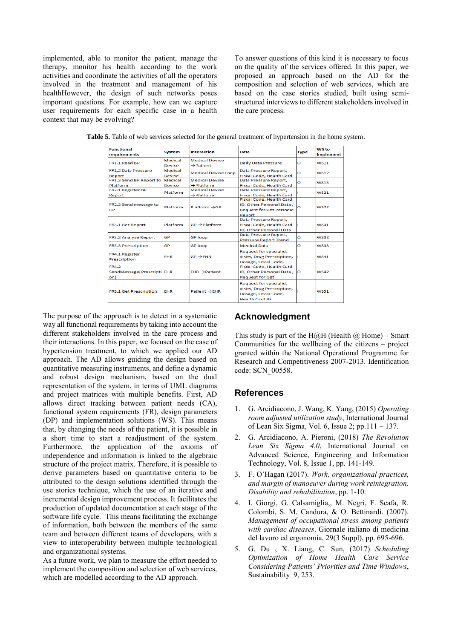implemented, able to monitor the patient, manage the therapy, monitor his health according to the work activities and coordinate the activities of all the operators involved in the treatment and management of his healthHowever, the design of such networks poses important questions. For example, how can we capture user requirements for each specific case in a health context that may be evolving?

To answer questions of this kind it is necessary to focus on the quality of the services offered. In this paper, we proposed an approach based on the AD for the composition and selection of web services, which are based on the case stories studied, built using semistructured interviews to different stakeholders involved in the care process.

| Table 5. Table of web services selected for the general treatment of hypertension in the home system. |  |
|-------------------------------------------------------------------------------------------------------|--|
|-------------------------------------------------------------------------------------------------------|--|

| <b>Functional</b><br>requirements | <b>System</b> | <b>Interaction</b>         | Data                            | <b>Type</b> | <b>WS</b> to<br><b>implement</b> |  |
|-----------------------------------|---------------|----------------------------|---------------------------------|-------------|----------------------------------|--|
| FR1.1 Read BP                     | Medical       | <b>Medical Devise</b>      | <b>Daily Data Pressure</b>      | o           | <b>WS11</b>                      |  |
|                                   | <b>Devise</b> | $\rightarrow$ Patient      |                                 |             |                                  |  |
| <b>FR1.2 Data Pressure</b>        | Medical       | <b>Medical Devise Loop</b> | Data Pressure Report,           | $\Omega$    | <b>WS12</b>                      |  |
| Report                            | <b>Devise</b> |                            | <b>Fiscal Code, Health Card</b> |             |                                  |  |
| FR1.3 Send BP Report to           | Medical       | <b>Medical Devise</b>      | Data Pressure Report,           | Ō           | <b>WS13</b>                      |  |
| Platform                          | <b>Devise</b> | $\rightarrow$ Platform     | <b>Fiscal Code, Health Card</b> |             |                                  |  |
| FR2.1 Register BP                 | Platform      | <b>Medical Devise</b>      | Data Pressure Report,           |             | <b>WS21</b>                      |  |
| Report                            |               | $\rightarrow$ Platform     | <b>Fiscal Code, Health Card</b> |             |                                  |  |
|                                   |               |                            | <b>Fiscal Code, Health Card</b> |             |                                  |  |
| FR2.2 Send message to             | Platform      | $Platform \rightarrow GP$  | ID. Other Personal Data.        | o           | <b>WS22</b>                      |  |
| GP                                |               |                            | <b>Request for Get Periodic</b> |             |                                  |  |
|                                   |               |                            | Report                          |             |                                  |  |
|                                   | Platform      | $GP \rightarrow$ Platform  | Data Pressure Report,           |             | <b>WS31</b>                      |  |
| <b>FR3.1 Get Report</b>           |               |                            | <b>Fiscal Code, Health Card</b> |             |                                  |  |
|                                   |               |                            | ID. Other Personal Data         |             |                                  |  |
| <b>FR3.2 Analyse Report</b>       | GP            | <b>GP loop</b>             | Data Pressure Report,           | O           | <b>WS32</b>                      |  |
|                                   |               |                            | <b>Pressure Report Trend</b>    |             |                                  |  |
| <b>FR3.3 Prescription</b>         | GP            | <b>GP loop</b>             | <b>Medical Data</b>             | $\circ$     | <b>WS33</b>                      |  |
| FR4.1 Register                    | <b>FHR</b>    |                            | <b>Request for specialist</b>   |             | <b>WS41</b>                      |  |
| Prescription                      |               | $GP \rightarrow$ EHR       | visits, Drug Prescription,      |             |                                  |  |
|                                   |               |                            | Dosage, Fiscal Code,            |             |                                  |  |
| <b>FR4.2</b>                      |               | $EHR \rightarrow$ Patient  | <b>Fiscal Code, Health Card</b> |             |                                  |  |
| SendMessage(Prescripti EHR        |               |                            | ID, Other Personal Data,        | $\circ$     | <b>WS42</b>                      |  |
| on)                               |               |                            | <b>Request for Get</b>          |             |                                  |  |
|                                   |               |                            | <b>Request for specialist</b>   |             |                                  |  |
|                                   |               |                            | visits, Drug Prescription,      |             | <b>WS51</b>                      |  |
| <b>FR5.1 Get Prescription</b>     | <b>EHR</b>    | Patient $\rightarrow$ EHR  | Dosage, Fiscal Code,            |             |                                  |  |
|                                   |               |                            | <b>Health Card ID</b>           |             |                                  |  |

The purpose of the approach is to detect in a systematic way all functional requirements by taking into account the different stakeholders involved in the care process and their interactions. In this paper, we focused on the case of hypertension treatment, to which we applied our AD approach. The AD allows guiding the design based on quantitative measuring instruments, and define a dynamic and robust design mechanism, based on the dual representation of the system, in terms of UML diagrams and project matrices with multiple benefits. First, AD allows direct tracking between patient needs (CA), functional system requirements (FR), design parameters (DP) and implementation solutions (WS). This means that, by changing the needs of the patient, it is possible in a short time to start a readjustment of the system. Furthermore, the application of the axioms of independence and information is linked to the algebraic structure of the project matrix. Therefore, it is possible to derive parameters based on quantitative criteria to be attributed to the design solutions identified through the use stories technique, which the use of an iterative and incremental design improvement process. It facilitates the production of updated documentation at each stage of the software life cycle. This means facilitating the exchange of information, both between the members of the same team and between different teams of developers, with a view to interoperability between multiple technological and organizational systems.

As a future work, we plan to measure the effort needed to implement the composition and selection of web services, which are modelled according to the AD approach.

# **Acknowledgment**

This study is part of the H@H (Health  $@$  Home) – Smart Communities for the wellbeing of the citizens – project granted within the National Operational Programme for Research and Competitiveness 2007-2013. Identification code: SCN\_00558.

# **References**

- 1. G. Arcidiacono, J. Wang, K. Yang, (2015) *Operating room adjusted utilization study*, International Journal of Lean Six Sigma, Vol. 6, Issue 2; pp.111 – 137.
- 2. G. Arcidiacono, A. Pieroni, (2018) *The Revolution Lean Six Sigma 4.0*, International Journal on Advanced Science, Engineering and Information Technology, [Vol. 8, Issue 1,](http://ijaseit.insightsociety.org/index.php?option=com_content&view=article&id=7&Itemid=1&issue_id=47) pp. 141-149.
- 3. F. O'Hagan (2017). *Work, organizational practices, and margin of manoeuver during work reintegration. Disability and rehabilitation*, pp. 1-10.
- 4. I. Giorgi, G. Calsamiglia,, M. Negri, F. Scafa, R. Colombi, S. M. Candura, & O. Bettinardi. (2007). *Management of occupational stress among patients with cardiac diseases*. Giornale italiano di medicina del lavoro ed ergonomia, 29(3 Suppl), pp. 695-696.
- 5. G. Du , X. Liang, C. Sun, (2017) *Scheduling Optimization of Home Health Care Service Considering Patients' Priorities and Time Windows*, Sustainability 9, 253.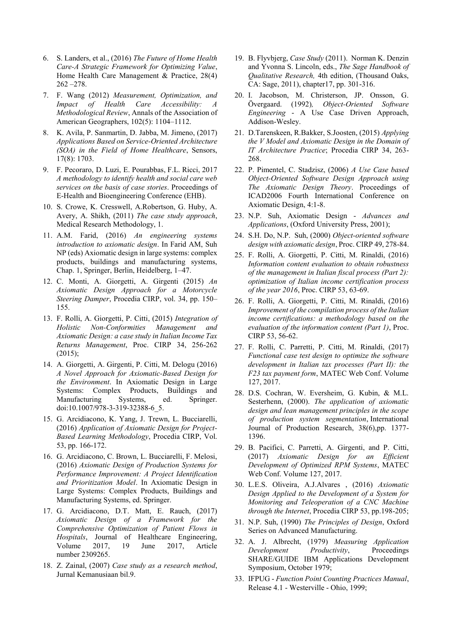- 6. S. Landers, et al., (2016) *The Future of Home Health Care-A Strategic Framework for Optimizing Value*, Home Health Care Management & Practice, 28(4)  $262 - 278$ .
- 7. F. Wang (2012) *Measurement, Optimization, and Impact of Health Care Accessibility: A Methodological Review*, Annals of the Association of American Geographers, 102(5): 1104–1112.
- 8. K. Avila, P. Sanmartin, D. Jabba, M. Jimeno, (2017) *Applications Based on Service-Oriented Architecture (SOA) in the Field of Home Healthcare*, Sensors, 17(8): 1703.
- 9. [F. Pecoraro,](https://ieeexplore.ieee.org/search/searchresult.jsp?searchWithin=) [D. Luzi,](https://ieeexplore.ieee.org/search/searchresult.jsp?searchWithin=) [E. Pourabbas,](https://ieeexplore.ieee.org/search/searchresult.jsp?searchWithin=) [F.L. Ricci,](https://ieeexplore.ieee.org/search/searchresult.jsp?searchWithin=) 2017 *A methodology to identify health and social care web services on the basis of case stories*. Proceedings of [E-Health and Bioengineering Conference \(EHB\).](https://ieeexplore.ieee.org/xpl/mostRecentIssue.jsp?punumber=7987616)
- 10. S. Crowe, K. Cresswell, A.Robertson, G. Huby, A. Avery, A. Shikh, (2011) *The case study approach*, Medical Research Methodology, 1.
- 11. A.M. Farid, (2016) *An engineering systems introduction to axiomatic design*. In Farid AM, Suh NP (eds) Axiomatic design in large systems: complex products, buildings and manufacturing systems, Chap. 1, Springer, Berlin, Heidelberg, 1–47.
- 12. C. Monti, A. Giorgetti, A. Girgenti (2015) *An Axiomatic Design Approach for a Motorcycle Steering Damper*, Procedia CIRP, vol. 34, pp. 150– 155.
- 13. F. Rolli, A. Giorgetti, P. Citti, (2015) *Integration of Holistic Non-Conformities Management and Axiomatic Design: a case study in Italian Income Tax Returns Management*, Proc. CIRP 34, 256-262 (2015);
- 14. A. Giorgetti, A. Girgenti, P. Citti, M. Delogu (2016) *A Novel Approach for Axiomatic-Based Design for the Environment*. In Axiomatic Design in Large Systems: Complex Products, Buildings and Manufacturing Systems, ed. Springer. doi:10.1007/978-3-319-32388-6\_5.
- 15. G. Arcidiacono, K. Yang, J. Trewn, L. Bucciarelli, (2016) *Application of Axiomatic Design for Project-Based Learning Methodology*, Procedia CIRP, Vol. 53, pp. 166-172.
- 16. G. Arcidiacono, C. Brown, L. Bucciarelli, F. Melosi, (2016) *Axiomatic Design of Production Systems for Performance Improvement: A Project Identification and Prioritization Model*. In Axiomatic Design in Large Systems: Complex Products, Buildings and Manufacturing Systems, ed. Springer.
- 17. G. Arcidiacono, D.T. Matt, E. Rauch, (2017) *Axiomatic Design of a Framework for the Comprehensive Optimization of Patient Flows in Hospitals*, Journal of Healthcare Engineering, Volume 2017, 19 June 2017, Article Volume 2017, 19 June 2017, Article number 2309265.
- 18. Z. Zainal, (2007) *Case study as a research method*, Jurnal Kemanusiaan bil.9.
- 19. B. Flyvbjerg, *Case Study* (2011). Norman K. Denzin and Yvonna S. Lincoln, eds., *The Sage Handbook of Qualitative Research,* 4th edition, (Thousand Oaks, CA: Sage, 2011), chapter17, pp. 301-316.
- 20. I. Jacobson, M. Christerson, JP. Onsson, G. Övergaard. (1992)*, Object-Oriented Software Engineering* - A Use Case Driven Approach, Addison-Wesley.
- 21. [D.Tarenskeen, R.Bakker, S.Joosten,](https://www.sciencedirect.com/science/article/pii/S2212827115007945#!) (2015) *Applying the V Model and Axiomatic Design in the Domain of IT Architecture Practice*; Procedia CIRP 34, 263- 268.
- 22. P. Pimentel, C. Stadzisz, (2006) *A Use Case based Object-Oriented Software Design Approach using The Axiomatic Design Theory*. Proceedings of ICAD2006 Fourth International Conference on Axiomatic Design, 4:1-8.
- 23. N.P. Suh, Axiomatic Design *Advances and Applications*, (Oxford University Press, 2001);
- 24. S.H. Do, N.P. Suh, (2000) *Object-oriented software design with axiomatic design*, Proc. CIRP 49, 278-84.
- 25. F. Rolli, A. Giorgetti, P. Citti, M. Rinaldi, (2016) *Information content evaluation to obtain robustness of the management in Italian fiscal process (Part 2): optimization of Italian income certification process of the year 2016*, Proc. CIRP 53, 63-69.
- 26. F. Rolli, A. Giorgetti, P. Citti, M. Rinaldi, (2016) *Improvement of the compilation process of the Italian income certifications: a methodology based on the evaluation of the information content (Part 1)*, Proc. CIRP 53, 56-62.
- 27. F. Rolli, C. Parretti, P. Citti, M. Rinaldi, (2017) *Functional case test design to optimize the software development in Italian tax processes (Part II): the F23 tax payment form*, MATEC Web Conf. Volume 127, 2017.
- 28. D.S. Cochran, W. Eversheim, G. Kubin, & M.L. Sesterhenn, (2000). *The application of axiomatic design and lean management principles in the scope of production system segmentation*, International Journal of Production Research, 38(6),pp. 1377- 1396.
- 29. B. Pacifici, C. Parretti, A. Girgenti, and P. Citti, (2017) *Axiomatic Design for an Efficient Development of Optimized RPM Systems*, MATEC Web Conf. Volume 127, 2017.
- 30. L.E.S. Oliveira, A.J.Alvares , (2016) *Axiomatic Design Applied to the Development of a System for Monitoring and Teleoperation of a CNC Machine through the Internet*, Procedia CIRP 53, pp.198-205;
- 31. N.P. Suh, (1990) *The Principles of Design*, Oxford Series on Advanced Manufacturing.
- 32. A. J. Albrecht, (1979) *Measuring Application Development Productivity*, Proceedings SHARE/GUIDE IBM Applications Development Symposium, October 1979;
- 33. IFPUG *Function Point Counting Practices Manual*, Release 4.1 - Westerville - Ohio, 1999;